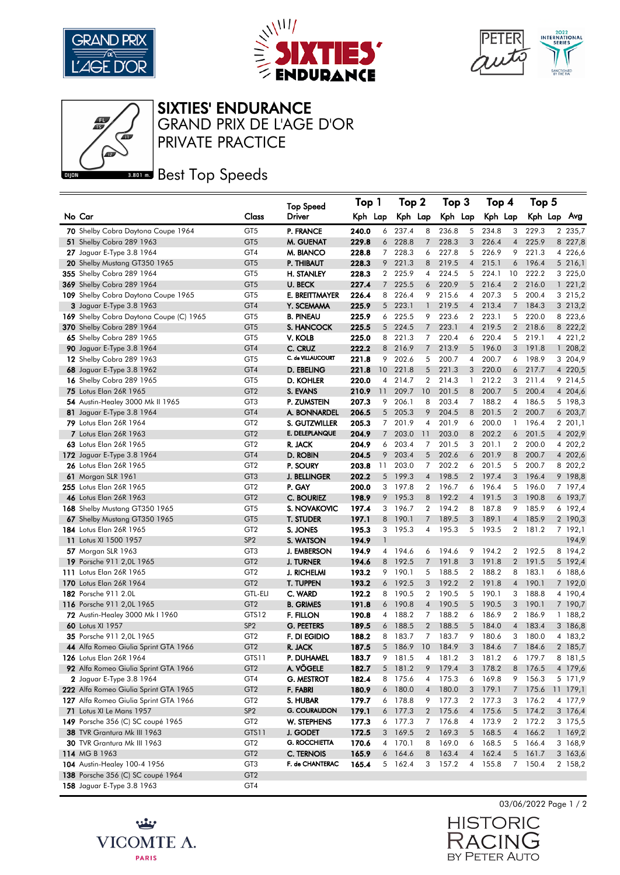





## SIXTIES' ENDURANCE

PRIVATE PRACTICE GRAND PRIX DE L'AGE D'OR

## **Best Top Speeds**

|                                         |                 | <b>Top Speed</b>     | Top 1   |                 | Top 2   |                | Top 3   |                | Top 4   |                | Top 5   |  |          |
|-----------------------------------------|-----------------|----------------------|---------|-----------------|---------|----------------|---------|----------------|---------|----------------|---------|--|----------|
| No Car                                  | Class           | Driver               | Kph Lap |                 | Kph Lap |                | Kph Lap |                | Kph Lap |                | Kph Lap |  | Avg      |
| 70 Shelby Cobra Daytona Coupe 1964      | GT <sub>5</sub> | P. FRANCE            | 240.0   | 6               | 237.4   | 8              | 236.8   | 5              | 234.8   | 3              | 229.3   |  | 2 235,7  |
| 51 Shelby Cobra 289 1963                | GT <sub>5</sub> | M. GUENAT            | 229.8   | 6               | 228.8   | $\overline{7}$ | 228.3   | 3              | 226.4   | $\overline{4}$ | 225.9   |  | 8 227,8  |
| 27 Jaguar E-Type 3.8 1964               | GT4             | M. BIANCO            | 228.8   | 7               | 228.3   | 6              | 227.8   | 5              | 226.9   | 9              | 221.3   |  | 4 226,6  |
| 20 Shelby Mustang GT350 1965            | GT <sub>5</sub> | P. THIBAUT           | 228.3   | 9               | 221.3   | 8              | 219.5   | $\overline{4}$ | 215.1   | 6              | 196.4   |  | 5 216,1  |
| 355 Shelby Cobra 289 1964               | GT <sub>5</sub> | <b>H. STANLEY</b>    | 228.3   | $\mathbf{2}$    | 225.9   | 4              | 224.5   | 5              | 224.1   | 10             | 222.2   |  | 3 225,0  |
| 369 Shelby Cobra 289 1964               | GT <sub>5</sub> | <b>U. BECK</b>       | 227.4   | 7               | 225.5   | 6              | 220.9   | 5              | 216.4   | $\overline{2}$ | 216.0   |  | 1221,2   |
| 109 Shelby Cobra Daytona Coupe 1965     | GT <sub>5</sub> | E. BREITTMAYER       | 226.4   | 8               | 226.4   | 9              | 215.6   | 4              | 207.3   | 5              | 200.4   |  | 3 215,2  |
| 3 Jaguar E-Type 3.8 1963                | GT4             | Y. SCEMAMA           | 225.9   | 5               | 223.1   | $\mathbf{1}$   | 219.5   | $\overline{4}$ | 213.4   | $7^{\circ}$    | 184.3   |  | 3 213,2  |
| 169 Shelby Cobra Daytona Coupe (C) 1965 | GT <sub>5</sub> | <b>B. PINEAU</b>     | 225.9   |                 | 6 225.5 | 9              | 223.6   | $\mathbf{2}$   | 223.1   | 5              | 220.0   |  | 8 223,6  |
| 370 Shelby Cobra 289 1964               | GT <sub>5</sub> | S. HANCOCK           | 225.5   | 5 <sup>5</sup>  | 224.5   | 7              | 223.1   | $\overline{4}$ | 219.5   | $\mathbf{2}$   | 218.6   |  | 8 222,2  |
| 65 Shelby Cobra 289 1965                | GT <sub>5</sub> | V. KOLB              | 225.0   |                 | 8 221.3 | 7              | 220.4   | 6              | 220.4   |                | 5 219.1 |  | 4 221,2  |
| 90 Jaguar E-Type 3.8 1964               | GT4             | C. CRUZ              | 222.2   | 8               | 216.9   | 7              | 213.9   | 5              | 196.0   | 3 <sup>1</sup> | 191.8   |  | 1 208,2  |
| 12 Shelby Cobra 289 1963                | GT <sub>5</sub> | C. de VILLAUCOURT    | 221.8   | 9               | 202.6   | 5              | 200.7   | 4              | 200.7   | 6              | 198.9   |  | 3 204,9  |
| 68 Jaguar E-Type 3.8 1962               | GT4             | D. EBELING           | 221.8   | 10 <sup>°</sup> | 221.8   | 5              | 221.3   | 3              | 220.0   |                | 6 217.7 |  | 4 220,5  |
| 16 Shelby Cobra 289 1965                | GT <sub>5</sub> | D. KOHLER            | 220.0   | 4               | 214.7   | 2              | 214.3   | -1             | 212.2   | 3              | 211.4   |  | 9 214,5  |
| 75 Lotus Elan 26R 1965                  | GT <sub>2</sub> | S. EVANS             | 210.9   | 11              | 209.7   | 10             | 201.5   | 8              | 200.7   | 5 <sup>5</sup> | 200.4   |  | 4 204,6  |
| 54 Austin-Healey 3000 Mk II 1965        | GT <sub>3</sub> | P. ZUMSTEIN          | 207.3   | 9               | 206.1   | 8              | 203.4   | 7 <sup>7</sup> | 188.2   | 4              | 186.5   |  | 5 198,3  |
| 81 Jaguar E-Type 3.8 1964               | GT4             | A. BONNARDEL         | 206.5   | 5               | 205.3   | 9              | 204.5   | 8              | 201.5   | $\overline{2}$ | 200.7   |  | 6 203,7  |
| <b>79</b> Lotus Elan 26R 1964           | GT <sub>2</sub> | S. GUTZWILLER        | 205.3   | 7               | 201.9   | 4              | 201.9   | 6              | 200.0   | 1              | 196.4   |  | 2 201,1  |
| <b>7</b> Lotus Elan 26R 1963            | GT <sub>2</sub> | E. DELEPLANQUE       | 204.9   | 7               | 203.0   | 11             | 203.0   | 8              | 202.2   | 6              | 201.5   |  | 4 202,9  |
| 63 Lotus Elan 26R 1965                  | GT <sub>2</sub> | R. JACK              | 204.9   | 6               | 203.4   | 7              | 201.5   | 3              | 201.1   |                | 2 200.0 |  | 4 202,2  |
| 172 Jaguar E-Type 3.8 1964              | GT4             | D. ROBIN             | 204.5   | 9               | 203.4   | 5              | 202.6   | 6              | 201.9   | 8              | 200.7   |  | 4 202,6  |
| <b>26</b> Lotus Elan 26R 1965           | GT <sub>2</sub> | P. SOURY             | 203.8   | 11              | 203.0   | 7              | 202.2   | 6              | 201.5   | 5              | 200.7   |  | 8 202,2  |
| <b>61</b> Morgan SLR 1961               | GT <sub>3</sub> | <b>J. BELLINGER</b>  | 202.2   | 5 <sup>5</sup>  | 199.3   | $\overline{4}$ | 198.5   | $\overline{2}$ | 197.4   | 3 <sup>1</sup> | 196.4   |  | 9 198,8  |
| 255 Lotus Elan 26R 1965                 | GT <sub>2</sub> | P. GAY               | 200.0   |                 | 3 197.8 | 2              | 196.7   | 6              | 196.4   |                | 5 196.0 |  | 7 197,4  |
| <b>46</b> Lotus Elan 26R 1963           | GT <sub>2</sub> | C. BOURIEZ           | 198.9   | 9               | 195.3   | 8              | 192.2   | $\overline{4}$ | 191.5   | 3              | 190.8   |  | 6 193,7  |
| <b>168</b> Shelby Mustang GT350 1965    | GT <sub>5</sub> | S. NOVAKOVIC         | 197.4   | 3               | 196.7   | $\overline{2}$ | 194.2   | 8              | 187.8   | 9              | 185.9   |  | 6 192,4  |
| 67 Shelby Mustang GT350 1965            | GT <sub>5</sub> | <b>T. STUDER</b>     | 197.1   | 8               | 190.1   | 7              | 189.5   | 3              | 189.1   | $\overline{4}$ | 185.9   |  | 2 190,3  |
| 184 Lotus Elan 26R 1965                 | GT <sub>2</sub> | S. JONES             | 195.3   | 3               | 195.3   | 4              | 195.3   |                | 5 193.5 |                | 2 181.2 |  | 7 192,1  |
| 11 Lotus XI 1500 1957                   | SP <sub>2</sub> | S. WATSON            | 194.9   | 1               |         |                |         |                |         |                |         |  | 194,9    |
| <b>57</b> Morgan SLR 1963               | GT <sub>3</sub> | <b>J. EMBERSON</b>   | 194.9   | $\overline{4}$  | 194.6   | 6              | 194.6   | 9              | 194.2   | $\mathbf{2}$   | 192.5   |  | 8 194,2  |
| 19 Porsche 911 2,0L 1965                | GT <sub>2</sub> | <b>J. TURNER</b>     | 194.6   | 8               | 192.5   | 7              | 191.8   | 3              | 191.8   |                | 2 191.5 |  | 5 192,4  |
| 111 Lotus Elan 26R 1965                 | GT <sub>2</sub> | <b>J. RICHELMI</b>   | 193.2   | 9               | 190.1   | 5              | 188.5   | $\overline{2}$ | 188.2   | 8              | 183.1   |  | 6 188,6  |
| 170 Lotus Elan 26R 1964                 | GT <sub>2</sub> | <b>T. TUPPEN</b>     | 193.2   | 6               | 192.5   | 3              | 192.2   | $\overline{2}$ | 191.8   | 4              | 190.1   |  | 7 192,0  |
| 182 Porsche 911 2.0L                    | <b>GTL-ELI</b>  | C. WARD              | 192.2   | 8               | 190.5   | $\overline{2}$ | 190.5   |                | 5 190.1 | 3              | 188.8   |  | 4 190,4  |
| 116 Porsche 911 2,0L 1965               | GT <sub>2</sub> | <b>B. GRIMES</b>     | 191.8   |                 | 6 190.8 | $\overline{4}$ | 190.5   | 5              | 190.5   | 3              | 190.1   |  | 7 190,7  |
| <b>72</b> Austin-Healey 3000 Mk I 1960  | GTS12           | F. FILLON            | 190.8   | 4               | 188.2   | 7              | 188.2   | 6              | 186.9   | $\overline{2}$ | 186.9   |  | 1 188,2  |
| <b>60</b> Lotus XI 1957                 | SP <sub>2</sub> | <b>G. PEETERS</b>    | 189.5   | 6               | 188.5   | $\overline{2}$ | 188.5   | 5              | 184.0   | 4              | 183.4   |  | 3 186,8  |
| 35 Porsche 911 2,0L 1965                | GT <sub>2</sub> | F. DI EGIDIO         | 188.2   | 8               | 183.7   | 7              | 183.7   | 9              | 180.6   | 3              | 180.0   |  | 4 183,2  |
| 44 Alfa Romeo Giulia Sprint GTA 1966    | GT <sub>2</sub> | R. JACK              | 187.5   | 5               | 186.9   | 10             | 184.9   | 3              | 184.6   | 7              | 184.6   |  | 2 185,7  |
| 126 Lotus Elan 26R 1964                 | GTS11           | P. DUHAMEL           | 183.7   | 9               | 181.5   | 4              | 181.2   | 3              | 181.2   | 6              | 179.7   |  | 8 181,5  |
| 92 Alfa Romeo Giulia Sprint GTA 1966    | GT <sub>2</sub> | A. VÖGELE            | 182.7   |                 | 5 181.2 | 9              | 179.4   | 3              | 178.2   | 8              | 176.5   |  | 4 179,6  |
| 2 Jaguar E-Type 3.8 1964                | GT4             | <b>G. MESTROT</b>    | 182.4   | 8               | 175.6   | 4              | 175.3   | 6              | 169.8   | 9              | 156.3   |  | 5 171,9  |
| 222 Alfa Romeo Giulia Sprint GTA 1965   | GT <sub>2</sub> | F. FABRI             | 180.9   | 6               | 180.0   | $\overline{4}$ | 180.0   | 3              | 179.1   | $7^{\circ}$    | 175.6   |  | 11 179,1 |
| 127 Alfa Romeo Giulia Sprint GTA 1966   | GT <sub>2</sub> | S. HUBAR             | 179.7   |                 | 6 178.8 | 9              | 177.3   |                | 2 177.3 |                | 3 176.2 |  | 4 177,9  |
| 71 Lotus XI Le Mans 1957                | SP <sub>2</sub> | <b>G. COURAUDON</b>  | 179.1   |                 | 6 177.3 | $\mathbf{2}$   | 175.6   |                | 4 175.6 |                | 5 174.2 |  | 3 176,4  |
| 149 Porsche 356 (C) SC coupé 1965       | GT <sub>2</sub> | W. STEPHENS          | 177.3   |                 | 6 177.3 | 7              | 176.8   | $\overline{4}$ | 173.9   |                | 2 172.2 |  | 3 175,5  |
| 38 TVR Grantura Mk III 1963             | GTS11           | J. GODET             | 172.5   |                 | 3 169.5 | $\overline{2}$ | 169.3   |                | 5 168.5 |                | 4 166.2 |  | 1 169,2  |
| 30 TVR Grantura Mk III 1963             | GT <sub>2</sub> | <b>G. ROCCHIETTA</b> | 170.6   |                 | 4 170.1 | 8              | 169.0   | 6              | 168.5   |                | 5 166.4 |  | 3 168,9  |
| 114 MG B 1963                           | GT <sub>2</sub> | C. TERNOIS           | 165.9   |                 | 6 164.6 | 8              | 163.4   | $\overline{4}$ | 162.4   | 5              | 161.7   |  | 3 163,6  |
| 104 Austin-Healey 100-4 1956            | GT <sub>3</sub> | F. de CHANTERAC      | 165.4   |                 | 5 162.4 | 3              | 157.2   | 4              | 155.8   |                | 7 150.4 |  | 2 158,2  |
| 138 Porsche 356 (C) SC coupé 1964       | GT <sub>2</sub> |                      |         |                 |         |                |         |                |         |                |         |  |          |
| 158 Jaguar E-Type 3.8 1963              | GT4             |                      |         |                 |         |                |         |                |         |                |         |  |          |





 $\overline{J}$ 

BY PETER AUTO